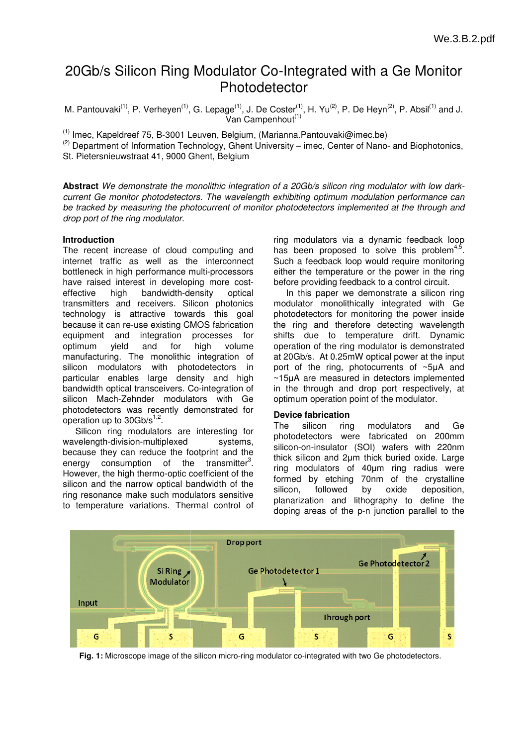# 20Gb/s Silicon Ring Modulator Co-Integrated with a Ge Monitor Photodetector

M. Pantouvaki<sup>(1)</sup>, P. Verheyen<sup>(1)</sup>, G. Lepage<sup>(1)</sup>, J. De Coster<sup>(1)</sup>, H. Yu<sup>(2)</sup>, P. De Heyn<sup>(2)</sup>, P. Absil<sup>(1)</sup> and J. Van Campenhout<sup>(1)</sup>

<sup>(1)</sup> Imec, Kapeldreef 75, B-3001 Leuven, Belgium, (Marianna.Pantouvaki@imec.be)

 $^{(2)}$  Department of Information Technology, Ghent University – imec, Center of Nano- and Biophotonics, St. Pietersnieuwstraat 41, 9000 Ghent, Belgium

**Abstract** We demonstrate the monolithic integration of a 20Gb/s silicon ring modulator with low darkcurrent Ge monitor photodetectors. The wavelength exhibiting optimum modulation performance can be tracked by measuring the photocurrent of monitor photodetectors implemented at the through and drop port of the ring modulator.

# **Introduction**

The recent increase of cloud computing and internet traffic as well as the interconnect bottleneck in high performance multi-processors have raised interest in developing more costeffective high bandwidth-density optical transmitters and receivers. Silicon photonics technology is attractive towards this goal because it can re-use existing CMOS fabrication equipment and integration optimum yield and for manufacturing. The monolithic integration of silicon modulators with photodetectors in particular enables large density and high bandwidth optical transceivers. Co-integration of silicon Mach-Zehnder modulators with Ge photodetectors was recently demonstrated for operation up to 30Gb/s $^{1,2}$ . density optical<br>Silicon photonics<br>vards this goal<br>CMOS fabrication<br>processes for high volume

Silicon ring modulators are interesting for wavelength-division-multiplexed systems, wavelength-division-multiplexed systems,<br>because they can reduce the footprint and the energy consumption of the transmitter<sup>3</sup>. However, the high thermo-optic coefficient of the silicon and the narrow optical bandwidth of the ring resonance make such modulators sensitive to temperature variations. Thermal control of

ring modulators via a dynamic feedback loop has been proposed to solve this problem<sup>4,5</sup>. Such a feedback loop would require monitoring either the temperature or the power in the ring before providing feedback to a control circuit.

In this paper we demonstrate a silicon ring modulator monolithically integrated with Ge photodetectors for monitoring the power inside the ring and therefore detecting wavelength shifts due to temperature drift. Dynamic operation of the ring modulator is demonstrated at 20Gb/s. At 0.25mW optical power at the input port of the ring, photocurrents of ~5µA and ~15µA are measured in detectors implemented in the through and drop port respectively, at optimum operation point of the modulator modulator.

# **Device fabrication**

The silicon ring modulators and Ge photodetectors were fabricated on 200mm silicon-on-insulator (SOI) wafers with 220nm thick silicon and 2µm thick buried oxide. Large ring modulators of 40µm ring radius were formed by etching 70nm of the crystalline silicon, followed by planarization and lithography to define the doping areas of the p-n junction parallel to the oxide deposition,



Fig. 1: Microscope image of the silicon micro-ring modulator co-integrated with two Ge photodetectors.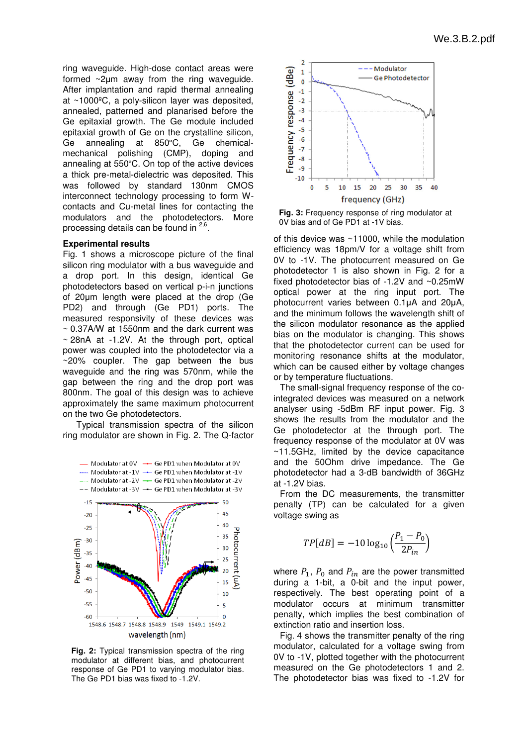ring waveguide. High-dose contact areas were formed  $\sim$ 2µm away from the ring waveguide. After implantation and rapid thermal annealing at ~1000ºC, a poly-silicon layer was deposited, annealed, patterned and planarised before the Ge epitaxial growth. The Ge module included epitaxial growth of Ge on the crystalline silicon silicon, Ge annealing at 850ºC, mechanical polishing (CMP), (CMP), doping and annealing at 550ºC. On top of the active devices a thick pre-metal-dielectric was deposited. This was followed by standard 130nm CMOS interconnect technology processing to form Wcontacts and Cu-metal lines for contacting the contacts and Cu-metal lines for contacting the<br>modulators and the photodetectors. More processing details can be found in <sup>2,6</sup>. Ge chemical-

#### **Experimental results**

Fig. 1 shows a microscope picture of the final silicon ring modulator with a bus waveguide and a drop port. In this design, identical Ge photodetectors based on vertical p p-i-n junctions of 20µm length were placed at the drop (Ge PD2) and through (Ge PD1) ports. The measured responsivity of these devices was ~ 0.37A/W at 1550nm and the dark current was ~ 0.37A/W at 1550nm and the dark current was<br>~ 28nA at -1.2V. At the through port, optical power was coupled into the photodetector via a ~20% coupler. The gap between the bus waveguide and the ring was 570 570nm, while the gap between the ring and the drop port was 800nm. The goal of this design was to achieve approximately the same maximum photocurrent on the two Ge photodetectors. pproximately the same maximum photocurrent<br>h the two Ge photodetectors.<br>Typical transmission spectra of the silicon

ring modulator are shown in Fig. 2 2. The Q-factor



**Fig. 2:** Typical transmission spectra of the ring modulator at different bias, and photocurrent modulator at different bias, and photocurrent<br>response of Ge PD1 to varying modulator bias. The Ge PD1 bias was fixed to -1.2 1.2V.



**Fig. 3:** Frequency response of ring modulator at 0V bias and of Ge PD1 at -1V bias.

of this device was  $\sim$ 11000, while the modulation efficiency was 18pm/V for a voltage shift from 0V to -1V. The photocurrent measured on Ge photodetector 1 is also shown in Fig. 2 for a fixed photodetector bias of -1.2V and  $\sim$ 0.25mW optical power at the ring input port. The photocurrent varies between 0.1µA and 20µA, and the minimum follows the wavelength shift of the silicon modulator resonance as the applied bias on the modulator is changing. This shows that the photodetector current can be used for monitoring resonance shifts at the modulator, which can be caused either by voltage changes or by temperature fluctuations fluctuations.

The small-signal frequency response of the cointegrated devices was measured on a network analyser using -5dBm RF input power. Fig. 3 shows the results from the modulator and the Ge photodetector at the through port. The frequency response of the modulator at 0V was ~11.5GHz, limited by the device capacitance ~11.5GHz, limited by the device capacitance<br>and the 50Ohm drive impedance. The Ge photodetector had a 3-dB bandwidth of 36GHz at -1.2V bias.

From the DC measurements, the transmitter penalty (TP) can be calculated for a given voltage swing as

$$
TP[dB] = -10 \log_{10} \left( \frac{P_1 - P_0}{2P_{in}} \right)
$$

where  $P_1$ ,  $P_0$  and  $P_{in}$  are the power transmitted during a 1-bit, a 0-bit and the input power, respectively. The best operating point of a modulator occurs at minimum penalty, which implies the best combination of extinction ratio and insertion loss. bit and the input power,<br>est operating point of a<br>at minimum transmitter

Fig. 4 shows the transmitter penalty of the ring modulator, calculated for a voltage swing from 0V to -1V, plotted together with the photocurrent measured on the Ge photodetectors 1 and 2. The photodetector bias was fixed to -1.2V for